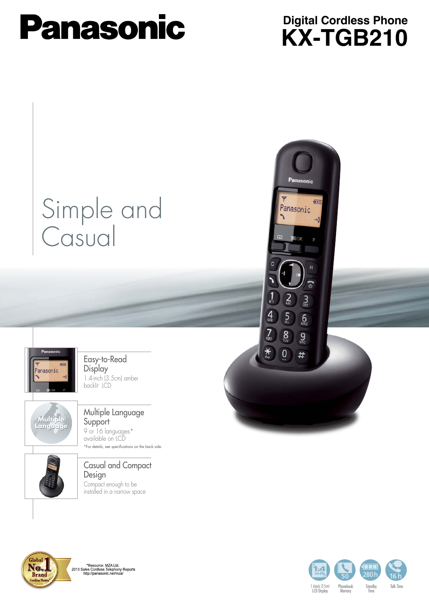# **Panasonic**

### **KX-TGB210 Digital Cordless Phone**

Panasonic

Panasonic

 $\frac{1}{2}$ 

 $\frac{4}{9}$ 

 $\overline{Z}$ 

 $*$ 

 $\sum_{ABC}$ 

 $\overline{5}$ 

 $8$ 

 $\overline{0}$ 

 $\mathbf{S}$ 

 $6\overline{6}$ 

 $9\n$ 

 $#$ 

 $\overline{\mathbf{u}}$ 

## Simple and **Casual**



Easy-to-Read **Display** 1.4-inch (3.5 cm) amber backlit LCD



#### Multiple Language **Support** 9 or 16 languages\* available on LCD \*For details, see specifications on the back side.

#### Casual and Compact Design Compact enough to be

installed in a narrow space



\*Resource: MZA Ltd.<br>2013 Sales Cordless Telephony Reports<br>http://panasonic.net/mza/